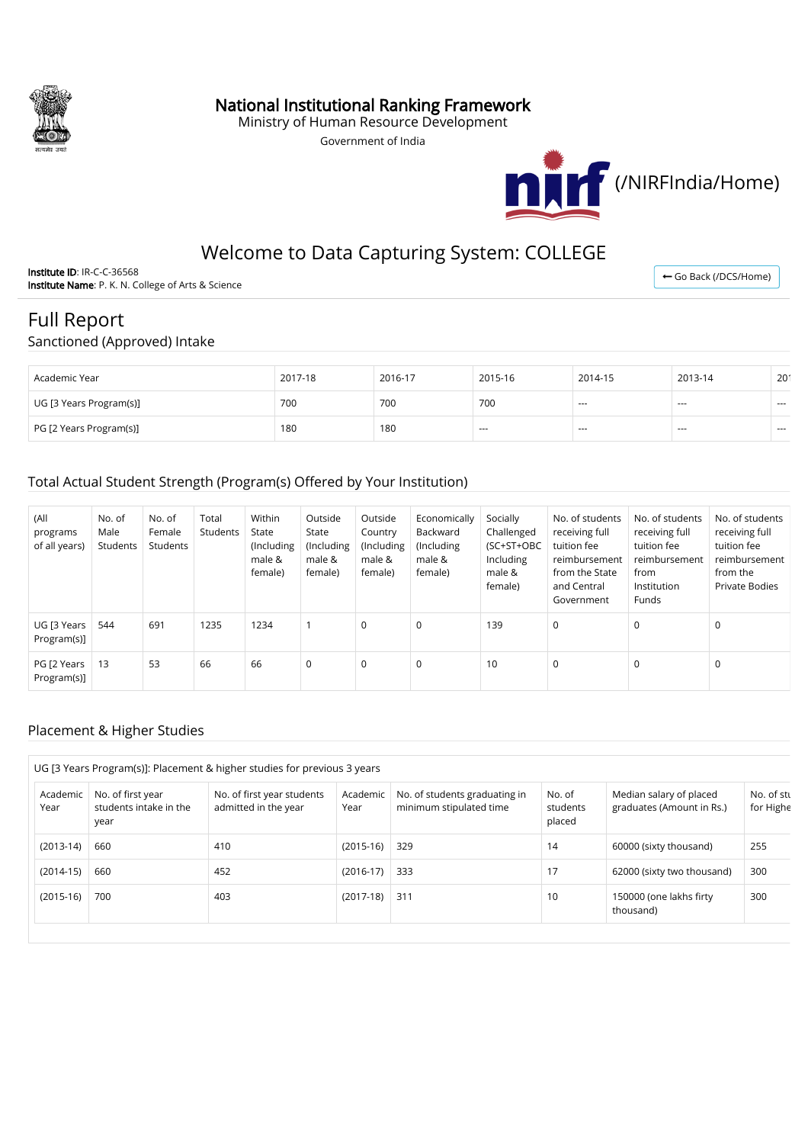

# National Institutional Ranking Framework

Ministry of Human Resource Development

Government of India



# Welcome to Data Capturing System: COLLEGE

Institute ID: IR-C-C-36568 Institute Name: P. K. N. College of Arts & Science

← Go Back [\(/DCS/Home\)](http://login.nirfindia.org/DCS/Home)

# Full Report

### Sanctioned (Approved) Intake

| Academic Year           | 2017-18 | 2016-17 | 2015-16 | 2014-15  | 2013-14 | 20 <sup>′</sup> |
|-------------------------|---------|---------|---------|----------|---------|-----------------|
| UG [3 Years Program(s)] | 700     | 700     | 700     | $\cdots$ | $- - -$ | $- - -$         |
| PG [2 Years Program(s)] | 180     | 180     | $- - -$ | $- - -$  | $- - -$ | $- - -$         |

## Total Actual Student Strength (Program(s) Offered by Your Institution)

| (A  )<br>programs<br>of all years) | No. of<br>Male<br>Students | No. of<br>Female<br>Students | Total<br>Students | Within<br>State<br>(Including<br>male &<br>female) | Outside<br>State<br>(Including<br>male &<br>female) | Outside<br>Country<br>(Including<br>male &<br>female) | Economically<br>Backward<br>(Including<br>male &<br>female) | Socially<br>Challenged<br>(SC+ST+OBC<br>Including<br>male &<br>female) | No. of students<br>receiving full<br>tuition fee<br>reimbursement<br>from the State<br>and Central<br>Government | No. of students<br>receiving full<br>tuition fee<br>reimbursement<br>from<br>Institution<br><b>Funds</b> | No. of students<br>receiving full<br>tuition fee<br>reimbursement<br>from the<br><b>Private Bodies</b> |
|------------------------------------|----------------------------|------------------------------|-------------------|----------------------------------------------------|-----------------------------------------------------|-------------------------------------------------------|-------------------------------------------------------------|------------------------------------------------------------------------|------------------------------------------------------------------------------------------------------------------|----------------------------------------------------------------------------------------------------------|--------------------------------------------------------------------------------------------------------|
| UG [3 Years<br>Program(s)]         | 544                        | 691                          | 1235              | 1234                                               |                                                     | 0                                                     | 0                                                           | 139                                                                    | $\mathbf 0$                                                                                                      | $\mathbf 0$                                                                                              | 0                                                                                                      |
| PG [2 Years<br>Program(s)]         | 13                         | 53                           | 66                | 66                                                 | $\mathbf 0$                                         | 0                                                     | 0                                                           | 10                                                                     | 0                                                                                                                | $\mathbf 0$                                                                                              | 0                                                                                                      |

### Placement & Higher Studies

|                  |                                                     | UG [3 Years Program(s)]: Placement & higher studies for previous 3 years |                  |                                                          |                              |                                                      |                         |
|------------------|-----------------------------------------------------|--------------------------------------------------------------------------|------------------|----------------------------------------------------------|------------------------------|------------------------------------------------------|-------------------------|
| Academic<br>Year | No. of first year<br>students intake in the<br>year | No. of first year students<br>admitted in the year                       | Academic<br>Year | No. of students graduating in<br>minimum stipulated time | No. of<br>students<br>placed | Median salary of placed<br>graduates (Amount in Rs.) | No. of stu<br>for Highe |
| $(2013-14)$      | 660                                                 | 410                                                                      | $(2015-16)$      | 329                                                      | 14                           | 60000 (sixty thousand)                               | 255                     |
| $(2014-15)$      | 660                                                 | 452                                                                      | $(2016-17)$      | 333                                                      | 17                           | 62000 (sixty two thousand)                           | 300                     |
| $(2015-16)$      | 700                                                 | 403                                                                      | $(2017-18)$      | 311                                                      | 10                           | 150000 (one lakhs firty<br>thousand)                 | 300                     |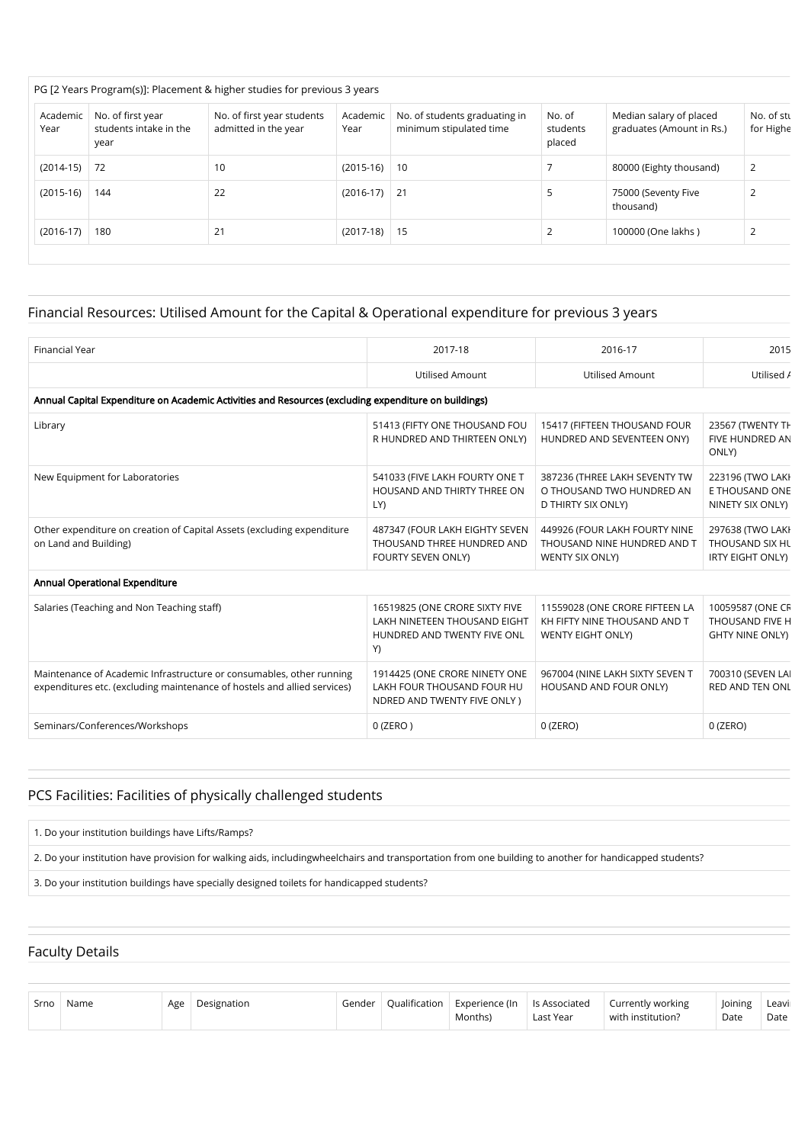|                  |                                                     | PG [2 Years Program(s)]: Placement & higher studies for previous 3 years |                  |                                                          |                              |                                                      |                         |
|------------------|-----------------------------------------------------|--------------------------------------------------------------------------|------------------|----------------------------------------------------------|------------------------------|------------------------------------------------------|-------------------------|
| Academic<br>Year | No. of first year<br>students intake in the<br>year | No. of first year students<br>admitted in the year                       | Academic<br>Year | No. of students graduating in<br>minimum stipulated time | No. of<br>students<br>placed | Median salary of placed<br>graduates (Amount in Rs.) | No. of stu<br>for Highe |
| $(2014-15)$      | 72                                                  | 10                                                                       | $(2015-16)$      | 10                                                       |                              | 80000 (Eighty thousand)                              | 2                       |
| $(2015-16)$      | 144                                                 | 22                                                                       | $(2016-17)$      | 21                                                       |                              | 75000 (Seventy Five<br>thousand)                     |                         |
| $(2016-17)$ 180  |                                                     | 21                                                                       | $(2017-18)$      | -15                                                      |                              | 100000 (One lakhs)                                   |                         |

#### Financial Resources: Utilised Amount for the Capital & Operational expenditure for previous 3 years

| <b>Financial Year</b>                                                                                                                            | 2017-18                                                                                             | 2016-17                                                                                    | 2015                                                           |
|--------------------------------------------------------------------------------------------------------------------------------------------------|-----------------------------------------------------------------------------------------------------|--------------------------------------------------------------------------------------------|----------------------------------------------------------------|
|                                                                                                                                                  | <b>Utilised Amount</b>                                                                              | <b>Utilised Amount</b>                                                                     | Utilised /                                                     |
| Annual Capital Expenditure on Academic Activities and Resources (excluding expenditure on buildings)                                             |                                                                                                     |                                                                                            |                                                                |
| Library                                                                                                                                          | 51413 (FIFTY ONE THOUSAND FOU<br>R HUNDRED AND THIRTEEN ONLY)                                       | 15417 (FIFTEEN THOUSAND FOUR<br>HUNDRED AND SEVENTEEN ONY)                                 | 23567 (TWENTY TH<br>FIVE HUNDRED AN<br>ONLY)                   |
| New Equipment for Laboratories                                                                                                                   | 541033 (FIVE LAKH FOURTY ONE T<br>HOUSAND AND THIRTY THREE ON<br>LY)                                | 387236 (THREE LAKH SEVENTY TW<br>O THOUSAND TWO HUNDRED AN<br>D THIRTY SIX ONLY)           | 223196 (TWO LAKI<br>E THOUSAND ONE<br>NINETY SIX ONLY)         |
| Other expenditure on creation of Capital Assets (excluding expenditure<br>on Land and Building)                                                  | 487347 (FOUR LAKH EIGHTY SEVEN<br>THOUSAND THREE HUNDRED AND<br>FOURTY SEVEN ONLY)                  | 449926 (FOUR LAKH FOURTY NINE<br>THOUSAND NINE HUNDRED AND T<br>WENTY SIX ONLY)            | 297638 (TWO LAKI<br>THOUSAND SIX HL<br><b>IRTY EIGHT ONLY)</b> |
| Annual Operational Expenditure                                                                                                                   |                                                                                                     |                                                                                            |                                                                |
| Salaries (Teaching and Non Teaching staff)                                                                                                       | 16519825 (ONE CRORE SIXTY FIVE<br>LAKH NINETEEN THOUSAND EIGHT<br>HUNDRED AND TWENTY FIVE ONL<br>Y) | 11559028 (ONE CRORE FIFTEEN LA<br>KH FIFTY NINE THOUSAND AND T<br><b>WENTY EIGHT ONLY)</b> | 10059587 (ONE CF<br>THOUSAND FIVE H<br><b>GHTY NINE ONLY)</b>  |
| Maintenance of Academic Infrastructure or consumables, other running<br>expenditures etc. (excluding maintenance of hostels and allied services) | 1914425 (ONE CRORE NINETY ONE<br>LAKH FOUR THOUSAND FOUR HU<br>NDRED AND TWENTY FIVE ONLY)          | 967004 (NINE LAKH SIXTY SEVEN T<br>HOUSAND AND FOUR ONLY)                                  | 700310 (SEVEN LAI<br><b>RED AND TEN ONL</b>                    |
| Seminars/Conferences/Workshops                                                                                                                   | $0$ (ZERO)                                                                                          | $0$ (ZERO)                                                                                 | $0$ (ZERO)                                                     |
|                                                                                                                                                  |                                                                                                     |                                                                                            |                                                                |

# PCS Facilities: Facilities of physically challenged students

1. Do your institution buildings have Lifts/Ramps?

2. Do your institution have provision for walking aids, includingwheelchairs and transportation from one building to another for handicapped students?

3. Do your institution buildings have specially designed toilets for handicapped students?

#### Faculty Details

| Srno | Name | Age | Designation | Gender | Oualification | Experience (In<br>Months) | ls Associated<br>Last Year | Currently working<br>?institution ו<br>with | loining<br>Date | Leavi<br>Date |
|------|------|-----|-------------|--------|---------------|---------------------------|----------------------------|---------------------------------------------|-----------------|---------------|
|------|------|-----|-------------|--------|---------------|---------------------------|----------------------------|---------------------------------------------|-----------------|---------------|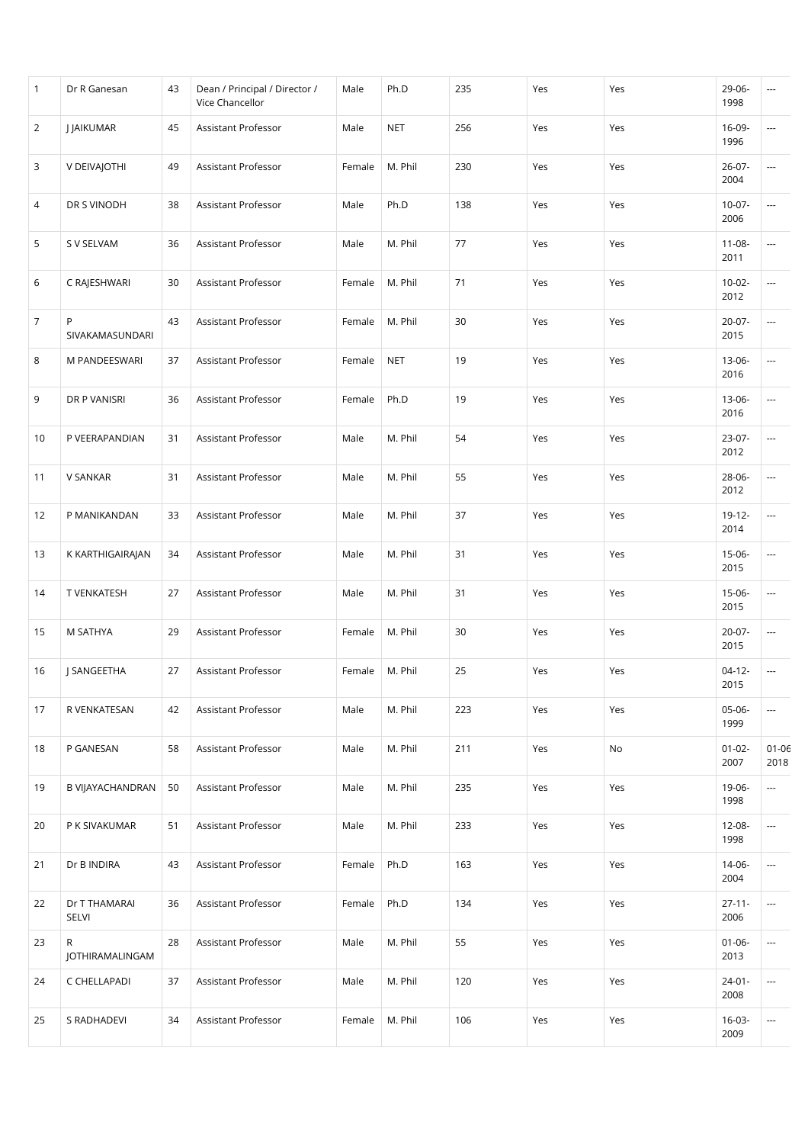| $\mathbf{1}$ | Dr R Ganesan           | 43 | Dean / Principal / Director /<br>Vice Chancellor | Male   | Ph.D       | 235 | Yes | Yes | 29-06-<br>1998      | ---                  |
|--------------|------------------------|----|--------------------------------------------------|--------|------------|-----|-----|-----|---------------------|----------------------|
| 2            | <b>JJAIKUMAR</b>       | 45 | Assistant Professor                              | Male   | <b>NET</b> | 256 | Yes | Yes | 16-09-<br>1996      | ---                  |
| 3            | V DEIVAJOTHI           | 49 | Assistant Professor                              | Female | M. Phil    | 230 | Yes | Yes | $26-07-$<br>2004    | ---                  |
| 4            | DR S VINODH            | 38 | Assistant Professor                              | Male   | Ph.D       | 138 | Yes | Yes | $10-07-$<br>2006    | ---                  |
| 5            | S V SELVAM             | 36 | <b>Assistant Professor</b>                       | Male   | M. Phil    | 77  | Yes | Yes | $11 - 08 -$<br>2011 | ---                  |
| 6            | C RAJESHWARI           | 30 | Assistant Professor                              | Female | M. Phil    | 71  | Yes | Yes | $10-02-$<br>2012    | ---                  |
| 7            | P<br>SIVAKAMASUNDARI   | 43 | Assistant Professor                              | Female | M. Phil    | 30  | Yes | Yes | $20 - 07 -$<br>2015 | ---                  |
| 8            | M PANDEESWARI          | 37 | Assistant Professor                              | Female | <b>NET</b> | 19  | Yes | Yes | $13 - 06 -$<br>2016 | ---                  |
| 9            | DR P VANISRI           | 36 | Assistant Professor                              | Female | Ph.D       | 19  | Yes | Yes | $13 - 06 -$<br>2016 | $\scriptstyle\cdots$ |
| 10           | P VEERAPANDIAN         | 31 | Assistant Professor                              | Male   | M. Phil    | 54  | Yes | Yes | $23-07-$<br>2012    | ---                  |
| 11           | V SANKAR               | 31 | Assistant Professor                              | Male   | M. Phil    | 55  | Yes | Yes | 28-06-<br>2012      | ---                  |
| 12           | P MANIKANDAN           | 33 | Assistant Professor                              | Male   | M. Phil    | 37  | Yes | Yes | $19-12-$<br>2014    | ---                  |
| 13           | K KARTHIGAIRAJAN       | 34 | Assistant Professor                              | Male   | M. Phil    | 31  | Yes | Yes | $15-06-$<br>2015    | $\scriptstyle\cdots$ |
| 14           | T VENKATESH            | 27 | Assistant Professor                              | Male   | M. Phil    | 31  | Yes | Yes | $15-06-$<br>2015    | $\scriptstyle\cdots$ |
| 15           | M SATHYA               | 29 | <b>Assistant Professor</b>                       | Female | M. Phil    | 30  | Yes | Yes | $20 - 07 -$<br>2015 | ---                  |
| 16           | J SANGEETHA            | 27 | <b>Assistant Professor</b>                       | Female | M. Phil    | 25  | Yes | Yes | $04-12-$<br>2015    | ---                  |
| 17           | R VENKATESAN           | 42 | Assistant Professor                              | Male   | M. Phil    | 223 | Yes | Yes | 05-06-<br>1999      | ---                  |
| 18           | P GANESAN              | 58 | Assistant Professor                              | Male   | M. Phil    | 211 | Yes | No  | $01 - 02 -$<br>2007 | $01 - 06$<br>2018    |
| 19           | B VIJAYACHANDRAN       | 50 | Assistant Professor                              | Male   | M. Phil    | 235 | Yes | Yes | 19-06-<br>1998      | ---                  |
| 20           | P K SIVAKUMAR          | 51 | Assistant Professor                              | Male   | M. Phil    | 233 | Yes | Yes | 12-08-<br>1998      | ---                  |
| 21           | Dr B INDIRA            | 43 | Assistant Professor                              | Female | Ph.D       | 163 | Yes | Yes | 14-06-<br>2004      | ---                  |
| 22           | Dr T THAMARAI<br>SELVI | 36 | Assistant Professor                              | Female | Ph.D       | 134 | Yes | Yes | $27 - 11 -$<br>2006 | ---                  |
| 23           | R<br>JOTHIRAMALINGAM   | 28 | Assistant Professor                              | Male   | M. Phil    | 55  | Yes | Yes | $01 - 06 -$<br>2013 | ---                  |
| 24           | C CHELLAPADI           | 37 | Assistant Professor                              | Male   | M. Phil    | 120 | Yes | Yes | $24 - 01 -$<br>2008 | ---                  |
| 25           | S RADHADEVI            | 34 | Assistant Professor                              | Female | M. Phil    | 106 | Yes | Yes | $16 - 03 -$<br>2009 | ---                  |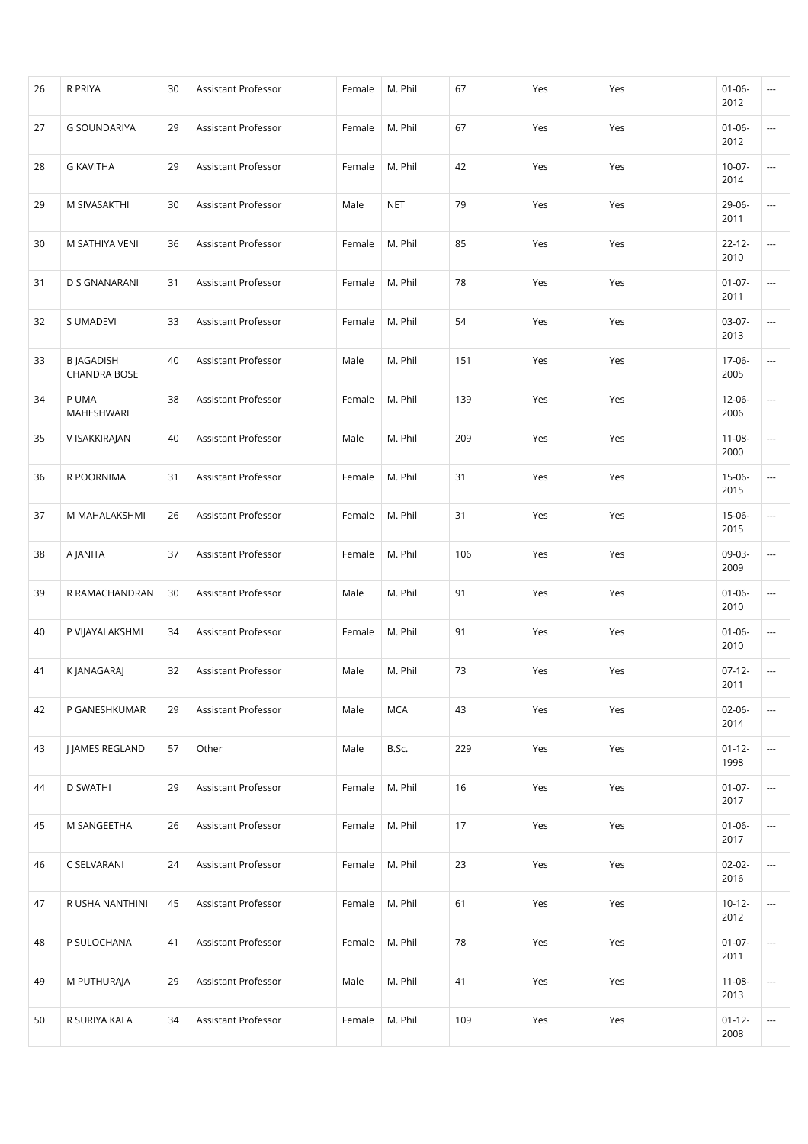| R PRIYA                                  | 30 | Assistant Professor | Female | M. Phil    | 67  | Yes | Yes | $01 - 06 -$<br>2012 | ---                      |
|------------------------------------------|----|---------------------|--------|------------|-----|-----|-----|---------------------|--------------------------|
| <b>G SOUNDARIYA</b>                      | 29 | Assistant Professor | Female | M. Phil    | 67  | Yes | Yes | $01 - 06 -$<br>2012 | $\qquad \qquad \cdots$   |
| <b>G KAVITHA</b>                         | 29 | Assistant Professor | Female | M. Phil    | 42  | Yes | Yes | $10-07 -$<br>2014   | ---                      |
| M SIVASAKTHI                             | 30 | Assistant Professor | Male   | <b>NET</b> | 79  | Yes | Yes | 29-06-<br>2011      | ---                      |
| M SATHIYA VENI                           | 36 | Assistant Professor | Female | M. Phil    | 85  | Yes | Yes | $22 - 12 -$<br>2010 | $\overline{\phantom{a}}$ |
| D S GNANARANI                            | 31 | Assistant Professor | Female | M. Phil    | 78  | Yes | Yes | $01 - 07 -$<br>2011 | $\cdots$                 |
| S UMADEVI                                | 33 | Assistant Professor | Female | M. Phil    | 54  | Yes | Yes | $03-07-$<br>2013    | $\overline{\phantom{a}}$ |
| <b>B JAGADISH</b><br><b>CHANDRA BOSE</b> | 40 | Assistant Professor | Male   | M. Phil    | 151 | Yes | Yes | 17-06-<br>2005      | ---                      |
| P UMA<br>MAHESHWARI                      | 38 | Assistant Professor | Female | M. Phil    | 139 | Yes | Yes | $12 - 06 -$<br>2006 | $\overline{\phantom{a}}$ |
| V ISAKKIRAJAN                            | 40 | Assistant Professor | Male   | M. Phil    | 209 | Yes | Yes | $11 - 08 -$<br>2000 | $\overline{\phantom{a}}$ |
| R POORNIMA                               | 31 | Assistant Professor | Female | M. Phil    | 31  | Yes | Yes | 15-06-<br>2015      | ---                      |
| M MAHALAKSHMI                            | 26 | Assistant Professor | Female | M. Phil    | 31  | Yes | Yes | 15-06-<br>2015      | $\cdots$                 |
| A JANITA                                 | 37 | Assistant Professor | Female | M. Phil    | 106 | Yes | Yes | 09-03-<br>2009      | ---                      |
| R RAMACHANDRAN                           | 30 | Assistant Professor | Male   | M. Phil    | 91  | Yes | Yes | $01 - 06 -$<br>2010 | $\cdots$                 |
| P VIJAYALAKSHMI                          | 34 | Assistant Professor | Female | M. Phil    | 91  | Yes | Yes | $01 - 06 -$<br>2010 | $\cdots$                 |
| K JANAGARAJ                              | 32 | Assistant Professor | Male   | M. Phil    | 73  | Yes | Yes | $07-12-$<br>2011    | ---                      |
| P GANESHKUMAR                            | 29 | Assistant Professor | Male   | <b>MCA</b> | 43  | Yes | Yes | $02 - 06 -$<br>2014 | $\cdots$                 |
| J JAMES REGLAND                          | 57 | Other               | Male   | B.Sc.      | 229 | Yes | Yes | $01 - 12 -$<br>1998 | ---                      |
| <b>D SWATHI</b>                          | 29 | Assistant Professor | Female | M. Phil    | 16  | Yes | Yes | $01 - 07 -$<br>2017 | ---                      |
| M SANGEETHA                              | 26 | Assistant Professor | Female | M. Phil    | 17  | Yes | Yes | $01 - 06 -$<br>2017 | ---                      |
| C SELVARANI                              | 24 | Assistant Professor | Female | M. Phil    | 23  | Yes | Yes | $02 - 02 -$<br>2016 | ---                      |
| R USHA NANTHINI                          | 45 | Assistant Professor | Female | M. Phil    | 61  | Yes | Yes | $10 - 12 -$<br>2012 | ---                      |
| P SULOCHANA                              | 41 | Assistant Professor | Female | M. Phil    | 78  | Yes | Yes | $01 - 07 -$<br>2011 | ---                      |
| M PUTHURAJA                              | 29 | Assistant Professor | Male   | M. Phil    | 41  | Yes | Yes | $11 - 08 -$<br>2013 | ---                      |
| R SURIYA KALA                            | 34 | Assistant Professor | Female | M. Phil    | 109 | Yes | Yes | $01 - 12 -$<br>2008 | $\cdots$                 |
|                                          |    |                     |        |            |     |     |     |                     |                          |